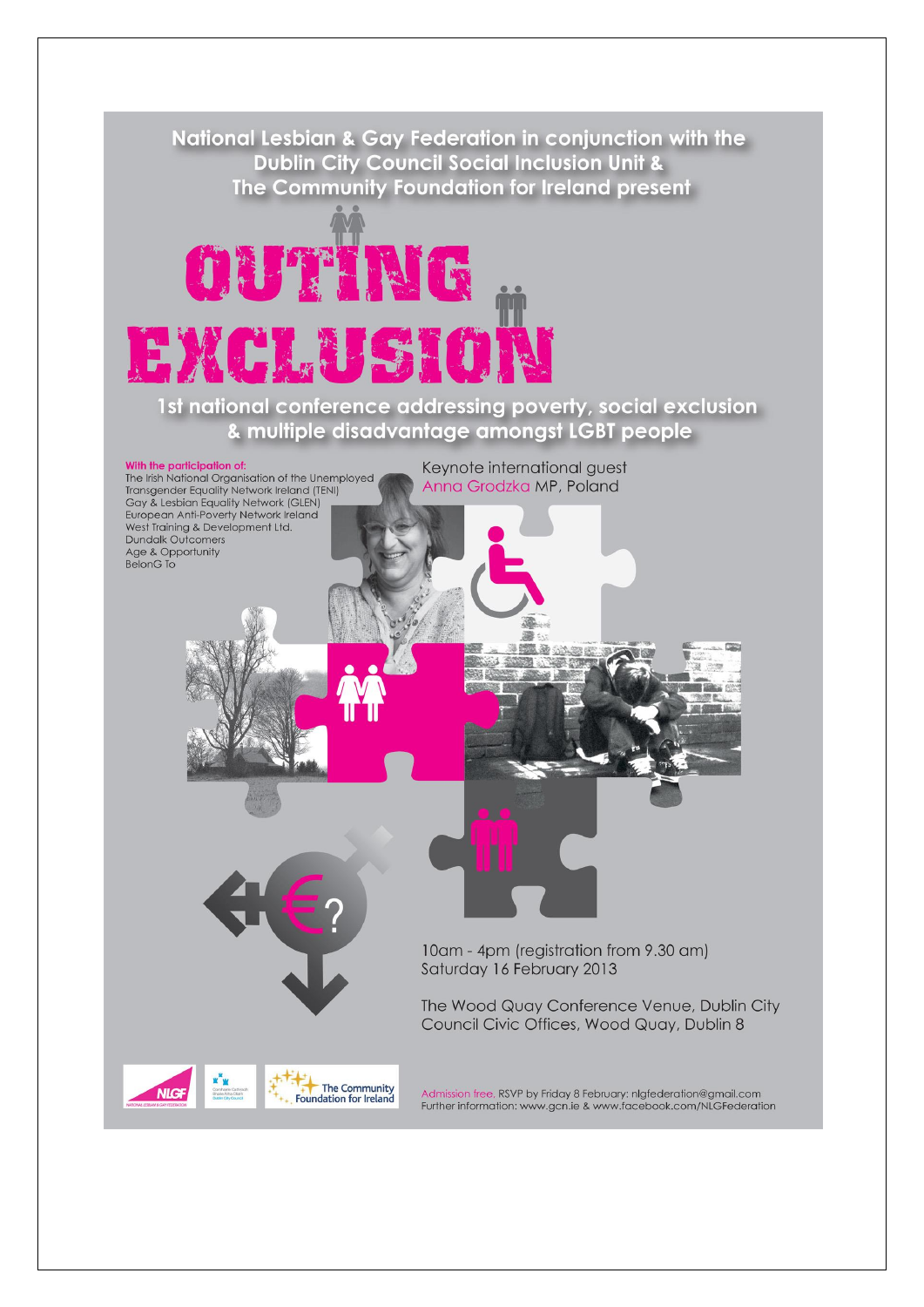